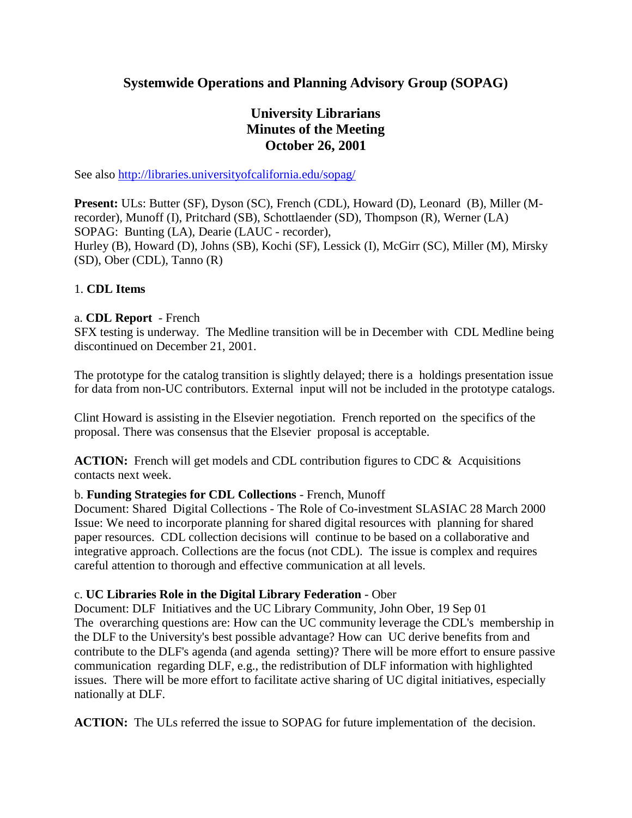# **Systemwide Operations and Planning Advisory Group (SOPAG)**

# **University Librarians Minutes of the Meeting October 26, 2001**

See also http://libraries.universityofcalifornia.edu/sopag/

**Present:** ULs: Butter (SF), Dyson (SC), French (CDL), Howard (D), Leonard (B), Miller (Mrecorder), Munoff (I), Pritchard (SB), Schottlaender (SD), Thompson (R), Werner (LA) SOPAG: Bunting (LA), Dearie (LAUC - recorder), Hurley (B), Howard (D), Johns (SB), Kochi (SF), Lessick (I), McGirr (SC), Miller (M), Mirsky (SD), Ober (CDL), Tanno (R)

#### 1. **CDL Items**

#### a. **CDL Report** - French

SFX testing is underway. The Medline transition will be in December with CDL Medline being discontinued on December 21, 2001.

The prototype for the catalog transition is slightly delayed; there is a holdings presentation issue for data from non-UC contributors. External input will not be included in the prototype catalogs.

Clint Howard is assisting in the Elsevier negotiation. French reported on the specifics of the proposal. There was consensus that the Elsevier proposal is acceptable.

**ACTION:** French will get models and CDL contribution figures to CDC & Acquisitions contacts next week.

#### b. **Funding Strategies for CDL Collections** - French, Munoff

Document: Shared Digital Collections - The Role of Co-investment SLASIAC 28 March 2000 Issue: We need to incorporate planning for shared digital resources with planning for shared paper resources. CDL collection decisions will continue to be based on a collaborative and integrative approach. Collections are the focus (not CDL). The issue is complex and requires careful attention to thorough and effective communication at all levels.

#### c. **UC Libraries Role in the Digital Library Federation** - Ober

Document: DLF Initiatives and the UC Library Community, John Ober, 19 Sep 01 The overarching questions are: How can the UC community leverage the CDL's membership in the DLF to the University's best possible advantage? How can UC derive benefits from and contribute to the DLF's agenda (and agenda setting)? There will be more effort to ensure passive communication regarding DLF, e.g., the redistribution of DLF information with highlighted issues. There will be more effort to facilitate active sharing of UC digital initiatives, especially nationally at DLF.

**ACTION:** The ULs referred the issue to SOPAG for future implementation of the decision.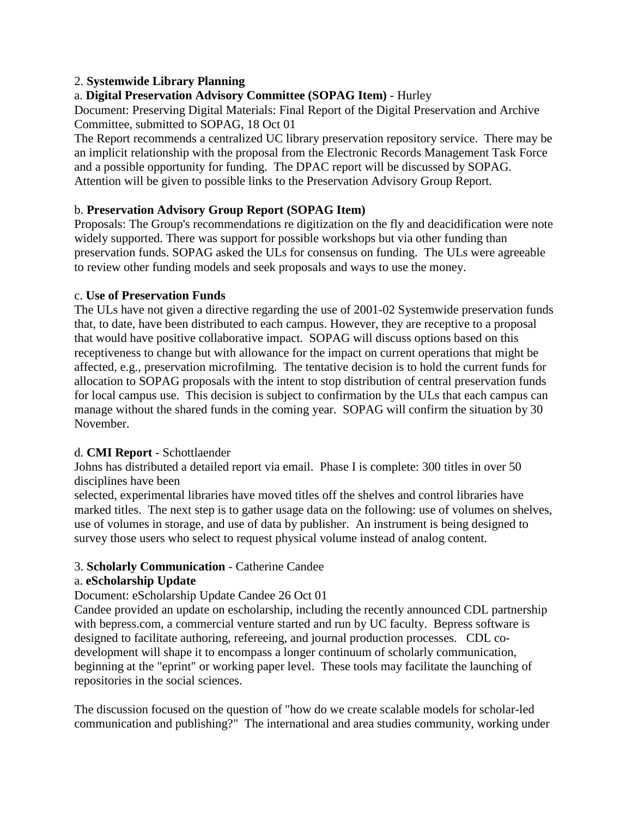### 2. **Systemwide Library Planning**

# a. **Digital Preservation Advisory Committee (SOPAG Item)** - Hurley

Document: Preserving Digital Materials: Final Report of the Digital Preservation and Archive Committee, submitted to SOPAG, 18 Oct 01

The Report recommends a centralized UC library preservation repository service. There may be an implicit relationship with the proposal from the Electronic Records Management Task Force and a possible opportunity for funding. The DPAC report will be discussed by SOPAG. Attention will be given to possible links to the Preservation Advisory Group Report.

#### b. **Preservation Advisory Group Report (SOPAG Item)**

Proposals: The Group's recommendations re digitization on the fly and deacidification were note widely supported. There was support for possible workshops but via other funding than preservation funds. SOPAG asked the ULs for consensus on funding. The ULs were agreeable to review other funding models and seek proposals and ways to use the money.

#### c. **Use of Preservation Funds**

The ULs have not given a directive regarding the use of 2001-02 Systemwide preservation funds that, to date, have been distributed to each campus. However, they are receptive to a proposal that would have positive collaborative impact. SOPAG will discuss options based on this receptiveness to change but with allowance for the impact on current operations that might be affected, e.g., preservation microfilming. The tentative decision is to hold the current funds for allocation to SOPAG proposals with the intent to stop distribution of central preservation funds for local campus use. This decision is subject to confirmation by the ULs that each campus can manage without the shared funds in the coming year. SOPAG will confirm the situation by 30 November.

## d. **CMI Report** - Schottlaender

Johns has distributed a detailed report via email. Phase I is complete: 300 titles in over 50 disciplines have been

selected, experimental libraries have moved titles off the shelves and control libraries have marked titles. The next step is to gather usage data on the following: use of volumes on shelves, use of volumes in storage, and use of data by publisher. An instrument is being designed to survey those users who select to request physical volume instead of analog content.

## 3. **Scholarly Communication** - Catherine Candee

#### a. **eScholarship Update**

#### Document: eScholarship Update Candee 26 Oct 01

Candee provided an update on escholarship, including the recently announced CDL partnership with bepress.com, a commercial venture started and run by UC faculty. Bepress software is designed to facilitate authoring, refereeing, and journal production processes. CDL codevelopment will shape it to encompass a longer continuum of scholarly communication, beginning at the "eprint" or working paper level. These tools may facilitate the launching of repositories in the social sciences.

The discussion focused on the question of "how do we create scalable models for scholar-led communication and publishing?" The international and area studies community, working under